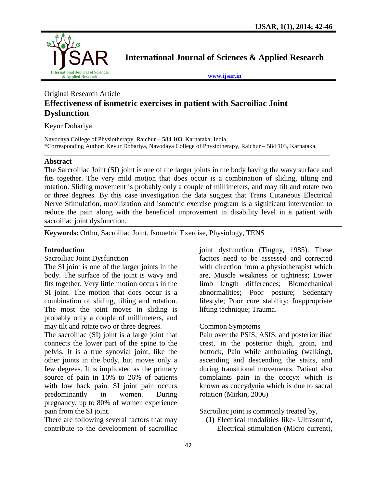

**International Journal of Sciences & Applied Research**

**[www.ijsar.in](http://www.ijsar.in/)**

# Original Research Article **Effectiveness of isometric exercises in patient with Sacroiliac Joint Dysfunction**

Keyur Dobariya

Navodaya College of Physiotherapy, Raichur – 584 103, Karnataka, India. \*Corresponding Author: Keyur Dobariya, Navodaya College of Physiotherapy, Raichur – 584 103, Karnataka.

\_\_\_\_\_\_\_\_\_\_\_\_\_\_\_\_\_\_\_\_\_\_\_\_\_\_\_\_\_\_\_\_\_\_\_\_\_\_\_\_\_\_\_\_\_\_\_\_\_\_\_\_\_\_\_\_\_\_\_\_\_\_\_\_\_\_\_\_\_\_\_\_\_\_\_\_\_\_\_\_\_\_\_\_\_\_\_\_\_\_\_\_\_

### **Abstract**

The Sarcroiliac Joint (SI) joint is one of the larger joints in the body having the wavy surface and fits together. The very mild motion that does occur is a combination of sliding, tilting and rotation. Sliding movement is probably only a couple of millimeters, and may tilt and rotate two or three degrees. By this case investigation the data suggest that Trans Cutaneous Electrical Nerve Stimulation, mobilization and isometric exercise program is a significant intervention to reduce the pain along with the beneficial improvement in disability level in a patient with sacroiliac joint dysfunction.

**Keywords:** Ortho, Sacroiliac Joint, Isometric Exercise, Physiology, TENS

### **Introduction**

Sacroiliac Joint Dysfunction

The SI joint is one of the larger joints in the body. The surface of the joint is wavy and fits together. Very little motion occurs in the SI joint. The motion that does occur is a combination of sliding, tilting and rotation. The most the joint moves in sliding is probably only a couple of millimeters, and may tilt and rotate two or three degrees.

The sacroiliac (SI) joint is a large joint that connects the lower part of the spine to the pelvis. It is a true synovial joint, like the other joints in the body, but moves only a few degrees. It is implicated as the primary source of pain in 10% to 26% of patients with low back pain. SI joint pain occurs predominantly in women. During pregnancy, up to 80% of women experience pain from the SI joint.

There are following several factors that may contribute to the development of sacroiliac

joint dysfunction (Tingny, 1985). These factors need to be assessed and corrected with direction from a physiotherapist which are, Muscle weakness or tightness; Lower limb length differences; Biomechanical abnormalities; Poor posture; Sedentary lifestyle; Poor core stability; Inappropriate lifting technique; Trauma.

### Common Symptoms

Pain over the PSIS, ASIS, and posterior iliac crest, in the posterior thigh, groin, and buttock, Pain while ambulating (walking), ascending and descending the stairs, and during transitional movements. Patient also complaints pain in the coccyx which is known as coccydynia which is due to sacral rotation (Mirkin, 2006)

Sacroiliac joint is commonly treated by,

**(1)** Electrical modalities like- Ultrasound, Electrical stimulation (Micro current),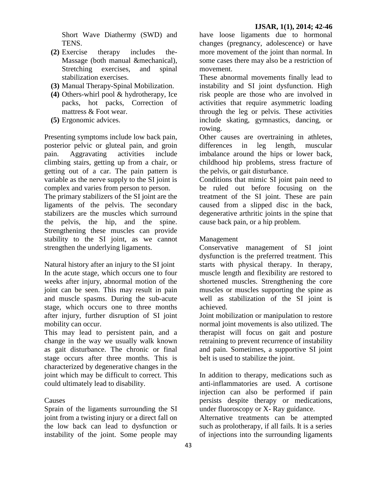Short Wave Diathermy (SWD) and TENS.

- **(2)** Exercise therapy includes the-Massage (both manual &mechanical), Stretching exercises, and spinal stabilization exercises.
- **(3)** Manual Therapy-Spinal Mobilization.
- **(4)** Others-whirl pool & hydrotherapy, Ice packs, hot packs, Correction of mattress & Foot wear.
- **(5)** Ergonomic advices.

Presenting symptoms include low back pain, posterior pelvic or gluteal pain, and groin pain. Aggravating activities include climbing stairs, getting up from a chair, or getting out of a car. The pain pattern is variable as the nerve supply to the SI joint is complex and varies from person to person.

The primary stabilizers of the SI joint are the ligaments of the pelvis. The secondary stabilizers are the muscles which surround the pelvis, the hip, and the spine. Strengthening these muscles can provide stability to the SI joint, as we cannot strengthen the underlying ligaments.

Natural history after an injury to the SI joint In the acute stage, which occurs one to four weeks after injury, abnormal motion of the joint can be seen. This may result in pain and muscle spasms. During the sub-acute stage, which occurs one to three months after injury, further disruption of SI joint mobility can occur.

This may lead to persistent pain, and a change in the way we usually walk known as gait disturbance. The chronic or final stage occurs after three months. This is characterized by degenerative changes in the joint which may be difficult to correct. This could ultimately lead to disability.

## Causes

Sprain of the ligaments surrounding the SI joint from a twisting injury or a direct fall on the low back can lead to dysfunction or instability of the joint. Some people may

have loose ligaments due to hormonal changes (pregnancy, adolescence) or have more movement of the joint than normal. In some cases there may also be a restriction of movement.

These abnormal movements finally lead to instability and SI joint dysfunction. High risk people are those who are involved in activities that require asymmetric loading through the leg or pelvis. These activities include skating, gymnastics, dancing, or rowing.

Other causes are overtraining in athletes, differences in leg length, muscular imbalance around the hips or lower back, childhood hip problems, stress fracture of the pelvis, or gait disturbance.

Conditions that mimic SI joint pain need to be ruled out before focusing on the treatment of the SI joint. These are pain caused from a slipped disc in the back, degenerative arthritic joints in the spine that cause back pain, or a hip problem.

## Management

Conservative management of SI joint dysfunction is the preferred treatment. This starts with physical therapy. In therapy, muscle length and flexibility are restored to shortened muscles. Strengthening the core muscles or muscles supporting the spine as well as stabilization of the SI joint is achieved.

Joint mobilization or manipulation to restore normal joint movements is also utilized. The therapist will focus on gait and posture retraining to prevent recurrence of instability and pain. Sometimes, a supportive SI joint belt is used to stabilize the joint.

In addition to therapy, medications such as anti-inflammatories are used. A cortisone injection can also be performed if pain persists despite therapy or medications, under fluoroscopy or X- Ray guidance.

Alternative treatments can be attempted such as prolotherapy, if all fails. It is a series of injections into the surrounding ligaments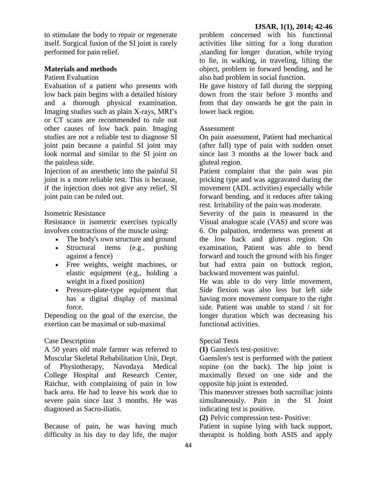to stimulate the body to repair or regenerate itself. Surgical fusion of the SI joint is rarely performed for pain relief.

### **Materials and methods**

### Patient Evaluation

Evaluation of a patient who presents with low back pain begins with a detailed history and a thorough physical examination. Imaging studies such as plain X-rays, MRI's or CT scans are recommended to rule out other causes of low back pain. Imaging studies are not a reliable test to diagnose SI joint pain because a painful SI joint may look normal and similar to the SI joint on the painless side.

Injection of an anesthetic into the painful SI joint is a more reliable test. This is because, if the injection does not give any relief, SI joint pain can be ruled out.

## Isometric Resistance

Resistance in isometric exercises typically involves contractions of the muscle using:

- The body's own structure and ground
- Structural items (e.g., pushing against a fence)
- Free weights, weight machines, or elastic equipment (e.g., holding a weight in a fixed position)
- Pressure-plate-type equipment that has a digital display of maximal force.

Depending on the goal of the exercise, the exertion can be maximal or sub-maximal

## Case Description

A 50 years old male farmer was referred to Muscular Skeletal Rehabilitation Unit, Dept. of Physiotherapy, Navodaya Medical College Hospital and Research Center, Raichur, with complaining of pain in low back area. He had to leave his work due to severe pain since last 3 months. He was diagnosed as Sacro-iliatis.

Because of pain, he was having much difficulty in his day to day life, the major

problem concerned with his functional activities like sitting for a long duration ,standing for longer duration, while trying to lie, in walking, in traveling, lifting the object, problem in forward bending, and he also had problem in social function.

He gave history of fall during the stepping down from the stair before 3 months and from that day onwards he got the pain in lower back region.

## Assessment

On pain assessment, Patient had mechanical (after fall) type of pain with sudden onset since last 3 months at the lower back and gluteal region.

Patient complaint that the pain was pin pricking type and was aggravated during the movement (ADL activities) especially while forward bending, and it reduces after taking rest. Irritability of the pain was moderate.

Severity of the pain is measured in the Visual analogue scale (VAS) and score was 6. On palpation, tenderness was present at the low back and gluteus region. On examination, Patient was able to bend forward and touch the ground with his finger but had extra pain on buttock region, backward movement was painful.

He was able to do very little movement, Side flexion was also less but left side having more movement compare to the right side. Patient was unable to stand / sit for longer duration which was decreasing his functional activities.

## Special Tests

**(1)** Ganslen's test-positive:

Gaenslen's test is performed with the patient supine (on the back). The hip joint is maximally flexed on one side and the opposite hip joint is extended.

This maneuver stresses both sacroiliac joints simultaneously. Pain in the SI Joint indicating test is positive.

**(2)** Pelvic compression test- Positive:

Patient in supine lying with back support, therapist is holding both ASIS and apply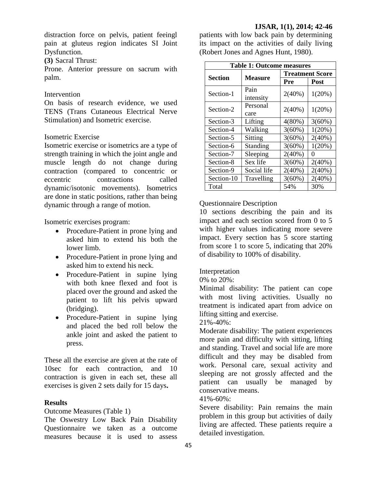distraction force on pelvis, patient feeingl pain at gluteus region indicates SI Joint Dysfunction.

**(3)** Sacral Thrust:

Prone. Anterior pressure on sacrum with palm.

#### Intervention

On basis of research evidence, we used TENS (Trans Cutaneous Electrical Nerve Stimulation) and Isometric exercise.

#### Isometric Exercise

Isometric exercise or isometrics are a type of strength training in which the joint angle and muscle length do not change during contraction (compared to concentric or eccentric contractions called dynamic/isotonic movements). Isometrics are done in static positions, rather than being dynamic through a range of motion.

Isometric exercises program:

- Procedure-Patient in prone lying and asked him to extend his both the lower limb.
- Procedure-Patient in prone lying and asked him to extend his neck.
- Procedure-Patient in supine lying with both knee flexed and foot is placed over the ground and asked the patient to lift his pelvis upward (bridging).
- Procedure-Patient in supine lying and placed the bed roll below the ankle joint and asked the patient to press.

These all the exercise are given at the rate of 10sec for each contraction, and 10 contraction is given in each set, these all exercises is given 2 sets daily for 15 days**.**

### **Results**

Outcome Measures (Table 1)

The Oswestry Low Back Pain Disability Questionnaire we taken as a outcome measures because it is used to assess

patients with low back pain by determining its impact on the activities of daily living (Robert Jones and Agnes Hunt, 1980).

| <b>Table 1: Outcome measures</b> |                |                        |             |
|----------------------------------|----------------|------------------------|-------------|
| <b>Section</b>                   | <b>Measure</b> | <b>Treatment Score</b> |             |
|                                  |                | Pre                    | <b>Post</b> |
| Section-1                        | Pain           | $2(40\%)$              | 1(20%)      |
|                                  | intensity      |                        |             |
| Section-2                        | Personal       | $2(40\%)$              | 1(20%)      |
|                                  | care           |                        |             |
| Section-3                        | Lifting        | $4(80\%)$              | $3(60\%)$   |
| Section-4                        | Walking        | 3(60%)                 | 1(20%)      |
| Section-5                        | Sitting        | $3(60\%)$              | $2(40\%)$   |
| Section-6                        | Standing       | $3(60\%)$              | $1(20\%)$   |
| Section-7                        | Sleeping       | $2(40\%)$              | $\theta$    |
| Section-8                        | Sex life       | $3(60\%)$              | $2(40\%)$   |
| Section-9                        | Social life    | $2(40\%)$              | $2(40\%)$   |
| Section-10                       | Travelling     | $3(60\%)$              | $2(40\%)$   |
| Total                            |                | 54%                    | 30%         |

### Questionnaire Description

10 sections describing the pain and its impact and each section scored from 0 to 5 with higher values indicating more severe impact. Every section has 5 score starting from score 1 to score 5, indicating that 20% of disability to 100% of disability.

### Interpretation

0% to 20%:

Minimal disability: The patient can cope with most living activities. Usually no treatment is indicated apart from advice on lifting sitting and exercise.

21%-40%:

Moderate disability: The patient experiences more pain and difficulty with sitting, lifting and standing. Travel and social life are more difficult and they may be disabled from work. Personal care, sexual activity and sleeping are not grossly affected and the patient can usually be managed by conservative means.

#### 41%-60%:

Severe disability: Pain remains the main problem in this group but activities of daily living are affected. These patients require a detailed investigation.